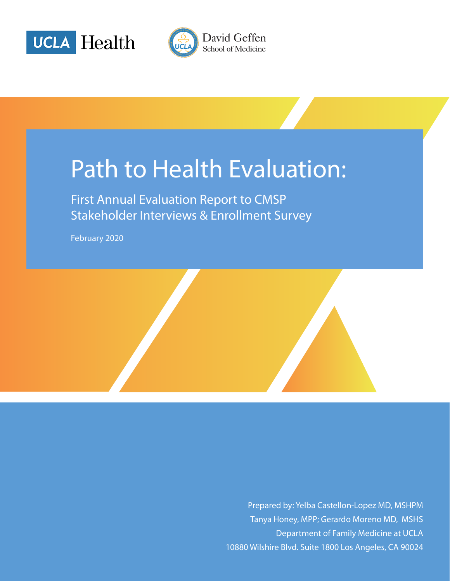



# Path to Health Evaluation:

First Annual Evaluation Report to CMSP Stakeholder Interviews & Enrollment Survey

February 2020

Prepared by: Yelba Castellon-Lopez MD, MSHPM Tanya Honey, MPP; Gerardo Moreno MD, MSHS Department of Family Medicine at UCLA 10880 Wilshire Blvd. Suite 1800 Los Angeles, CA 90024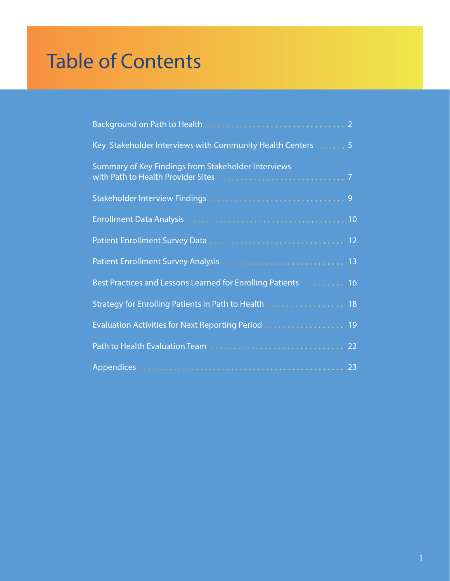# Table of Contents

| Key Stakeholder Interviews with Community Health Centers  5 |
|-------------------------------------------------------------|
| Summary of Key Findings from Stakeholder Interviews         |
|                                                             |
|                                                             |
|                                                             |
| Patient Enrollment Survey Analysis  13                      |
|                                                             |
| Strategy for Enrolling Patients in Path to Health  18       |
| Evaluation Activities for Next Reporting Period  19         |
|                                                             |
|                                                             |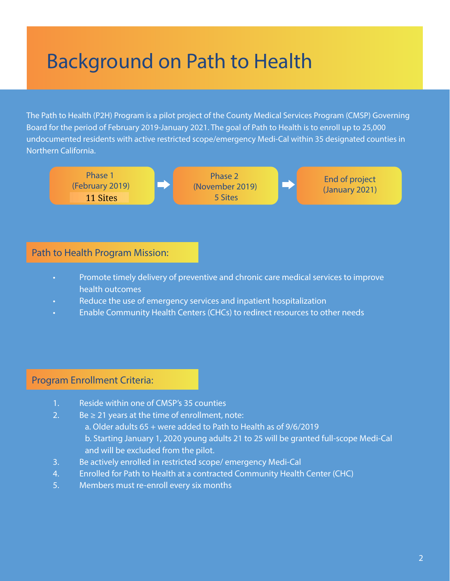# Background on Path to Health

The Path to Health (P2H) Program is a pilot project of the County Medical Services Program (CMSP) Governing Board for the period of February 2019-January 2021. The goal of Path to Health is to enroll up to 25,000 undocumented residents with active restricted scope/emergency Medi-Cal within 35 designated counties in Northern California.



## Path to Health Program Mission:

- Promote timely delivery of preventive and chronic care medical services to improve health outcomes
- Reduce the use of emergency services and inpatient hospitalization
- Enable Community Health Centers (CHCs) to redirect resources to other needs

## Program Enrollment Criteria:

- 1. Reside within one of CMSP's 35 counties
- 2. Be  $\geq$  21 years at the time of enrollment, note:
	- a. Older adults 65 + were added to Path to Health as of 9/6/2019 b. Starting January 1, 2020 young adults 21 to 25 will be granted full-scope Medi-Cal and will be excluded from the pilot.
- 3. Be actively enrolled in restricted scope/ emergency Medi-Cal
- 4. Enrolled for Path to Health at a contracted Community Health Center (CHC)
- 5. Members must re-enroll every six months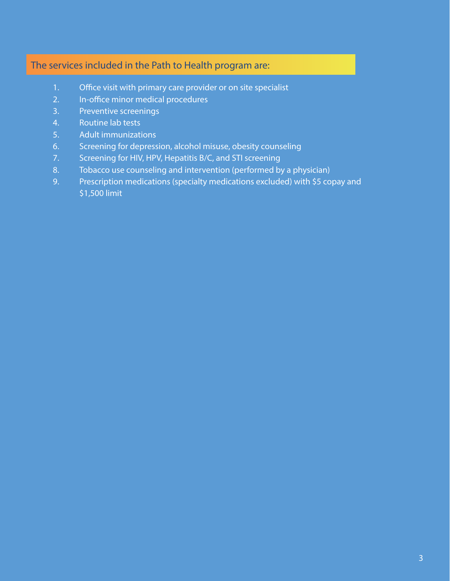## The services included in the Path to Health program are:

- 1. Office visit with primary care provider or on site specialist
- 2. In-office minor medical procedures
- 3. Preventive screenings
- 4. Routine lab tests
- 5. Adult immunizations
- 6. Screening for depression, alcohol misuse, obesity counseling
- 7. Screening for HIV, HPV, Hepatitis B/C, and STI screening
- 8. Tobacco use counseling and intervention (performed by a physician)
- 9. Prescription medications (specialty medications excluded) with \$5 copay and \$1,500 limit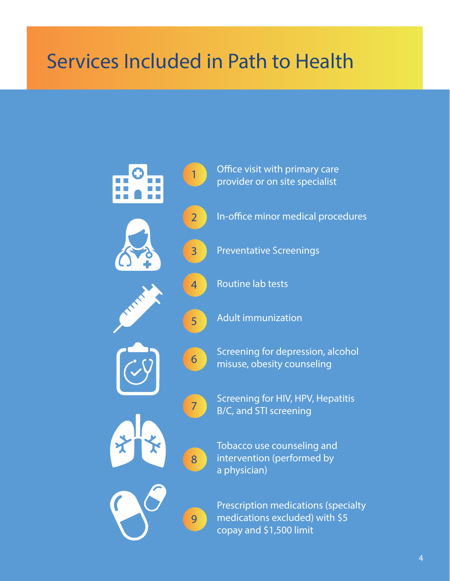# Services Included in Path to Health

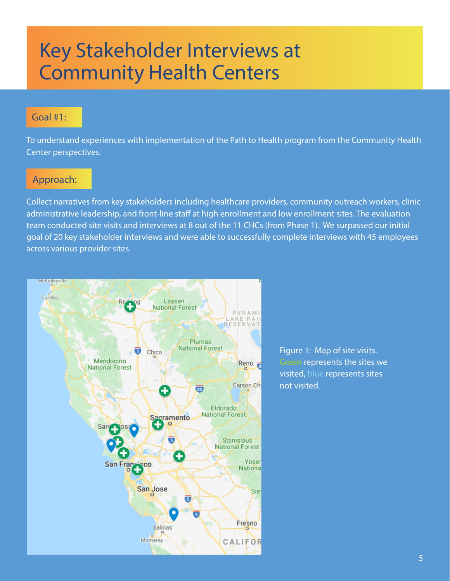## Key Stakeholder Interviews at Community Health Centers

## Goal #1:

To understand experiences with implementation of the Path to Health program from the Community Health Center perspectives.

## Approach:

Collect narratives from key stakeholders including healthcare providers, community outreach workers, clinic administrative leadership, and front-line staff at high enrollment and low enrollment sites. The evaluation team conducted site visits and interviews at 8 out of the 11 CHCs (from Phase 1). We surpassed our initial goal of 20 key stakeholder interviews and were able to successfully complete interviews with 45 employees across various provider sites.



Figure 1: Map of site visits. Green represents the sites we visited, blue represents sites not visited.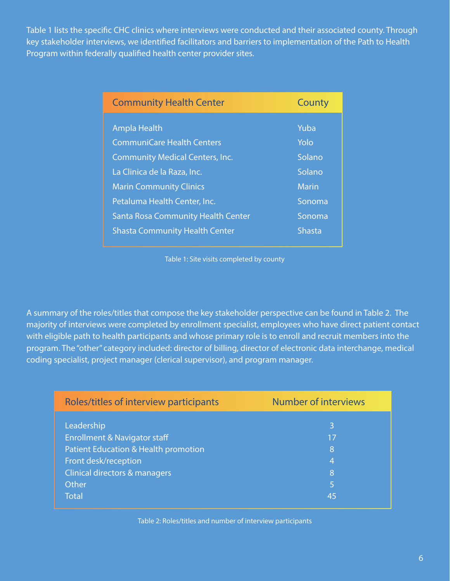Table 1 lists the specific CHC clinics where interviews were conducted and their associated county. Through key stakeholder interviews, we identified facilitators and barriers to implementation of the Path to Health Program within federally qualified health center provider sites.

| <b>Community Health Center</b>            | County        |
|-------------------------------------------|---------------|
| <b>Ampla Health</b>                       | Yuba          |
| <b>CommuniCare Health Centers</b>         | Yolo          |
| <b>Community Medical Centers, Inc.</b>    | Solano        |
| La Clinica de la Raza, Inc.               | Solano        |
| <b>Marin Community Clinics</b>            | <b>Marin</b>  |
| Petaluma Health Center, Inc.              | Sonoma        |
| <b>Santa Rosa Community Health Center</b> | Sonoma        |
| <b>Shasta Community Health Center</b>     | <b>Shasta</b> |

Table 1: Site visits completed by county

A summary of the roles/titles that compose the key stakeholder perspective can be found in Table 2. The majority of interviews were completed by enrollment specialist, employees who have direct patient contact with eligible path to health participants and whose primary role is to enroll and recruit members into the program. The "other" category included: director of billing, director of electronic data interchange, medical coding specialist, project manager (clerical supervisor), and program manager.

| Roles/titles of interview participants  | <b>Number of interviews</b> |
|-----------------------------------------|-----------------------------|
| Leadership                              | 3                           |
| <b>Enrollment &amp; Navigator staff</b> | 17                          |
| Patient Education & Health promotion    | 8                           |
| Front desk/reception                    | 4                           |
| Clinical directors & managers           | 8                           |
| <b>Other</b>                            | 5                           |
| <b>Total</b>                            | 45                          |

Table 2: Roles/titles and number of interview participants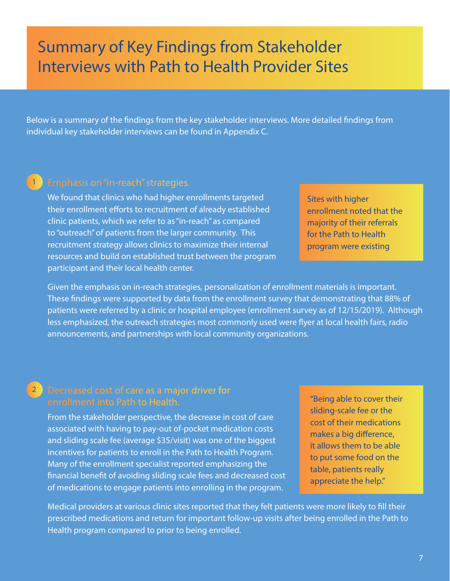## Summary of Key Findings from Stakeholder Interviews with Path to Health Provider Sites

Below is a summary of the findings from the key stakeholder interviews. More detailed findings from individual key stakeholder interviews can be found in Appendix C.

### Emphasis on "in-reach" strategies. 1

We found that clinics who had higher enrollments targeted their enrollment efforts to recruitment of already established clinic patients, which we refer to as "in-reach" as compared to "outreach" of patients from the larger community. This recruitment strategy allows clinics to maximize their internal resources and build on established trust between the program participant and their local health center.

Given the emphasis on in-reach strategies, personalization of enrollment materials is important. These findings were supported by data from the enrollment survey that demonstrating that 88% of patients were referred by a clinic or hospital employee (enrollment survey as of 12/15/2019). Although less emphasized, the outreach strategies most commonly used were flyer at local health fairs, radio announcements, and partnerships with local community organizations.

### Decreased cost of care as a major driver for enrollment into Path to Health. 2

From the stakeholder perspective, the decrease in cost of care associated with having to pay-out of-pocket medication costs and sliding scale fee (average \$35/visit) was one of the biggest incentives for patients to enroll in the Path to Health Program. Many of the enrollment specialist reported emphasizing the financial benefit of avoiding sliding scale fees and decreased cost of medications to engage patients into enrolling in the program.

"Being able to cover their sliding-scale fee or the cost of their medications makes a big difference, it allows them to be able to put some food on the table, patients really appreciate the help."

Medical providers at various clinic sites reported that they felt patients were more likely to fill their prescribed medications and return for important follow-up visits after being enrolled in the Path to Health program compared to prior to being enrolled.

Sites with higher enrollment noted that the majority of their referrals for the Path to Health program were existing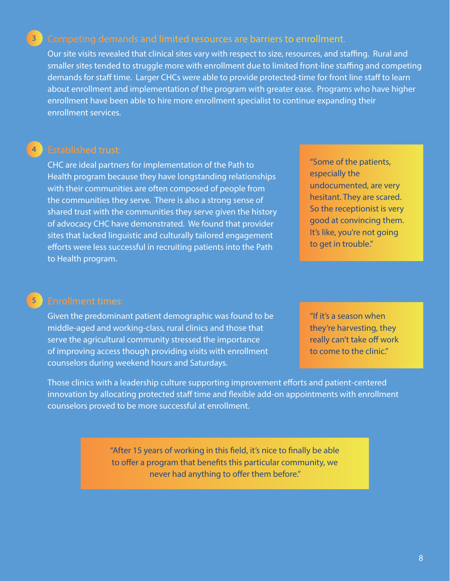### Competing demands and limited resources are barriers to enrollment. 3

Our site visits revealed that clinical sites vary with respect to size, resources, and staffing. Rural and smaller sites tended to struggle more with enrollment due to limited front-line staffing and competing demands for staff time. Larger CHCs were able to provide protected-time for front line staff to learn about enrollment and implementation of the program with greater ease. Programs who have higher enrollment have been able to hire more enrollment specialist to continue expanding their enrollment services.

### Established trust: 4

CHC are ideal partners for implementation of the Path to Health program because they have longstanding relationships with their communities are often composed of people from the communities they serve. There is also a strong sense of shared trust with the communities they serve given the history of advocacy CHC have demonstrated. We found that provider sites that lacked linguistic and culturally tailored engagement efforts were less successful in recruiting patients into the Path to Health program.

"Some of the patients, especially the undocumented, are very hesitant. They are scared. So the receptionist is very good at convincing them. It's like, you're not going to get in trouble."

### Enrollment times: 5

Given the predominant patient demographic was found to be middle-aged and working-class, rural clinics and those that serve the agricultural community stressed the importance of improving access though providing visits with enrollment counselors during weekend hours and Saturdays.

"If it's a season when they're harvesting, they really can't take off work to come to the clinic."

Those clinics with a leadership culture supporting improvement efforts and patient-centered innovation by allocating protected staff time and flexible add-on appointments with enrollment counselors proved to be more successful at enrollment.

> "After 15 years of working in this field, it's nice to finally be able to offer a program that benefits this particular community, we never had anything to offer them before."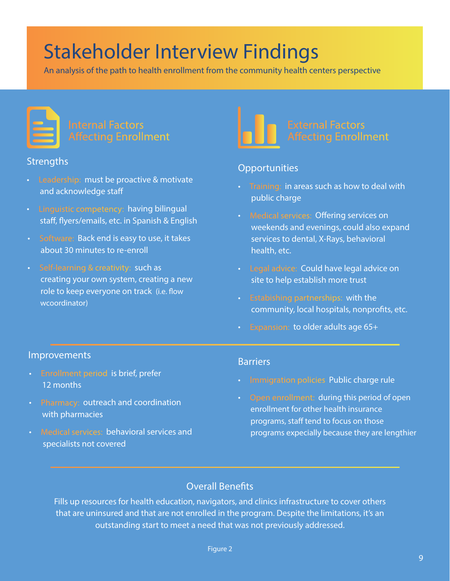# Stakeholder Interview Findings

An analysis of the path to health enrollment from the community health centers perspective



### **Strengths**

- Leadership: must be proactive & motivate and acknowledge staff
- Linguistic competency: having bilingual staff, flyers/emails, etc. in Spanish & English
- Software: Back end is easy to use, it takes about 30 minutes to re-enroll
- Self-learning & creativity: such as creating your own system, creating a new role to keep everyone on track (i.e. flow wcoordinator)



## **Opportunities**

- Training: in areas such as how to deal with public charge
- Medical services: Offering services on weekends and evenings, could also expand services to dental, X-Rays, behavioral health, etc.
- Legal advice: Could have legal advice on site to help establish more trust
- Estabishing partnerships: with the community, local hospitals, nonprofits, etc.
- Expansion: to older adults age 65+

### Improvements

- Enrollment period is brief, prefer 12 months
- Pharmacy: outreach and coordination with pharmacies
- Medical services: behavioral services and specialists not covered

### **Barriers**

- Immigration policies Public charge rule
- Open enrollment: during this period of open enrollment for other health insurance programs, staff tend to focus on those programs expecially because they are lengthier

## Overall Benefits

Fills up resources for health education, navigators, and clinics infrastructure to cover others that are uninsured and that are not enrolled in the program. Despite the limitations, it's an outstanding start to meet a need that was not previously addressed.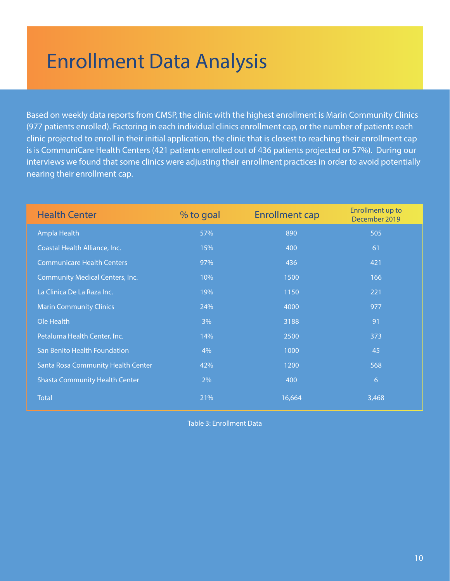# Enrollment Data Analysis

Based on weekly data reports from CMSP, the clinic with the highest enrollment is Marin Community Clinics (977 patients enrolled). Factoring in each individual clinics enrollment cap, or the number of patients each clinic projected to enroll in their initial application, the clinic that is closest to reaching their enrollment cap is is CommuniCare Health Centers (421 patients enrolled out of 436 patients projected or 57%). During our interviews we found that some clinics were adjusting their enrollment practices in order to avoid potentially nearing their enrollment cap.

| <b>Health Center</b>                   | % to goal | <b>Enrollment cap</b> | <b>Enrollment up to</b><br>December 2019 |
|----------------------------------------|-----------|-----------------------|------------------------------------------|
| Ampla Health                           | 57%       | 890                   | 505                                      |
| Coastal Health Alliance, Inc.          | 15%       | 400                   | 61                                       |
| <b>Communicare Health Centers</b>      | 97%       | 436                   | 421                                      |
| <b>Community Medical Centers, Inc.</b> | 10%       | 1500                  | 166                                      |
| La Clinica De La Raza Inc.             | 19%       | 1150                  | 221                                      |
| <b>Marin Community Clinics</b>         | 24%       | 4000                  | 977                                      |
| Ole Health                             | 3%        | 3188                  | 91                                       |
| Petaluma Health Center, Inc.           | 14%       | 2500                  | 373                                      |
| San Benito Health Foundation           | 4%        | 1000                  | 45                                       |
| Santa Rosa Community Health Center     | 42%       | 1200                  | 568                                      |
| <b>Shasta Community Health Center</b>  | 2%        | 400                   | $\overline{6}$                           |
| <b>Total</b>                           | 21%       | 16,664                | 3,468                                    |

Table 3: Enrollment Data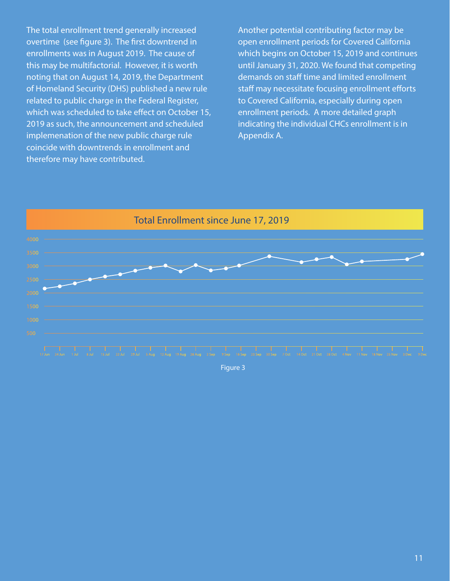The total enrollment trend generally increased overtime (see figure 3). The first downtrend in enrollments was in August 2019. The cause of this may be multifactorial. However, it is worth noting that on August 14, 2019, the Department of Homeland Security (DHS) published a new rule related to public charge in the Federal Register, which was scheduled to take effect on October 15, 2019 as such, the announcement and scheduled implemenation of the new public charge rule coincide with downtrends in enrollment and therefore may have contributed.

Another potential contributing factor may be open enrollment periods for Covered California which begins on October 15, 2019 and continues until January 31, 2020. We found that competing demands on staff time and limited enrollment staff may necessitate focusing enrollment efforts to Covered California, especially during open enrollment periods. A more detailed graph indicating the individual CHCs enrollment is in Appendix A.



Figure 3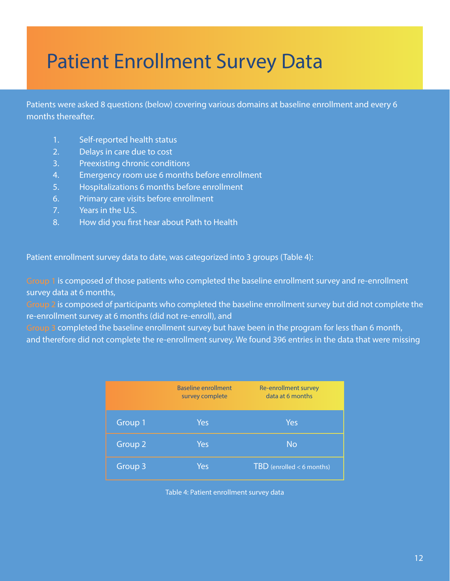# Patient Enrollment Survey Data

Patients were asked 8 questions (below) covering various domains at baseline enrollment and every 6 months thereafter.

- 1. Self-reported health status
- 2. Delays in care due to cost
- 3. Preexisting chronic conditions
- 4. Emergency room use 6 months before enrollment
- 5. Hospitalizations 6 months before enrollment
- 6. Primary care visits before enrollment
- 7. Years in the U.S.
- 8. How did you first hear about Path to Health

Patient enrollment survey data to date, was categorized into 3 groups (Table 4):

Group 1 is composed of those patients who completed the baseline enrollment survey and re-enrollment survey data at 6 months,

Group 2 is composed of participants who completed the baseline enrollment survey but did not complete the re-enrollment survey at 6 months (did not re-enroll), and

Group 3 completed the baseline enrollment survey but have been in the program for less than 6 month, and therefore did not complete the re-enrollment survey. We found 396 entries in the data that were missing

|         | <b>Baseline enrollment</b><br>survey complete | Re-enrollment survey<br>data at 6 months |  |
|---------|-----------------------------------------------|------------------------------------------|--|
| Group 1 | Yes                                           | Yes                                      |  |
| Group 2 | Yes                                           | <b>No</b>                                |  |
| Group 3 | Yes                                           | $TBD$ (enrolled < 6 months)              |  |

Table 4: Patient enrollment survey data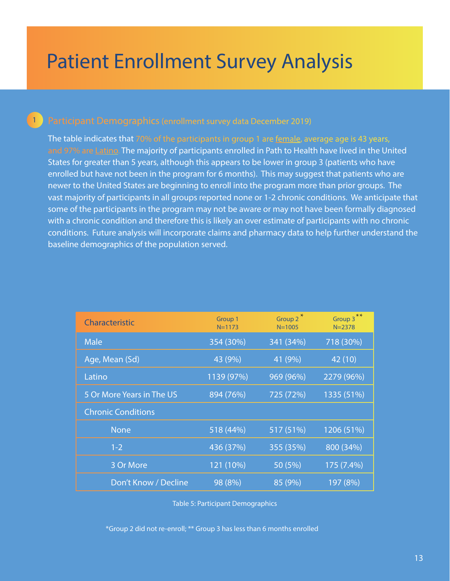# Patient Enrollment Survey Analysis

## Participant Demographics(enrollment survey data December 2019)

1

The table indicates that 70% of the participants in group 1 are female, average age is 43 years, and 97% are Latino. The majority of participants enrolled in Path to Health have lived in the United States for greater than 5 years, although this appears to be lower in group 3 (patients who have enrolled but have not been in the program for 6 months). This may suggest that patients who are newer to the United States are beginning to enroll into the program more than prior groups. The vast majority of participants in all groups reported none or 1-2 chronic conditions. We anticipate that some of the participants in the program may not be aware or may not have been formally diagnosed with a chronic condition and therefore this is likely an over estimate of participants with no chronic conditions. Future analysis will incorporate claims and pharmacy data to help further understand the baseline demographics of the population served.

| Characteristic            | Group 1<br>$N = 1173$ | $\ast$<br>Group 2<br>$N = 1005$ | Group 3**<br>$N = 2378$ |
|---------------------------|-----------------------|---------------------------------|-------------------------|
| Male                      | 354 (30%)             | 341 (34%)                       | 718 (30%)               |
| Age, Mean (Sd)            | 43 (9%)               | 41 (9%)                         | 42 (10)                 |
| Latino                    | 1139 (97%)            | 969 (96%)                       | 2279 (96%)              |
| 5 Or More Years in The US | 894 (76%)             | 725 (72%)                       | 1335 (51%)              |
| <b>Chronic Conditions</b> |                       |                                 |                         |
| <b>None</b>               | 518 (44%)             | 517 (51%)                       | 1206 (51%)              |
| $1 - 2$                   | 436 (37%)             | 355 (35%)                       | 800 (34%)               |
| 3 Or More                 | 121 (10%)             | 50 (5%)                         | 175 (7.4%)              |
| Don't Know / Decline      | 98 (8%)               | 85 (9%)                         | 197 (8%)                |

Table 5: Participant Demographics

\*Group 2 did not re-enroll; \*\* Group 3 has less than 6 months enrolled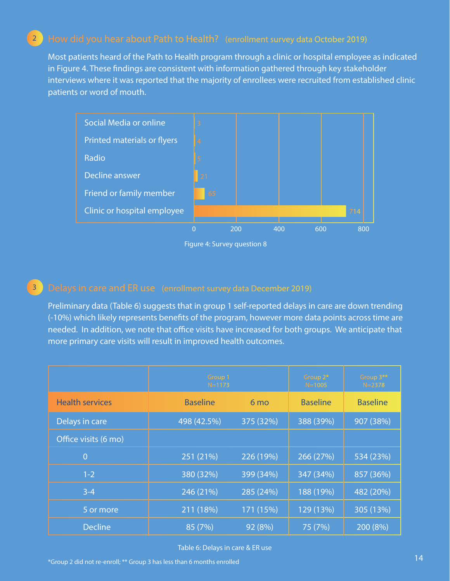### How did you hear about Path to Health? (enrollment survey data October 2019) 2

Most patients heard of the Path to Health program through a clinic or hospital employee as indicated in Figure 4. These findings are consistent with information gathered through key stakeholder interviews where it was reported that the majority of enrollees were recruited from established clinic patients or word of mouth.



Figure 4: Survey question 8

### 3

Preliminary data (Table 6) suggests that in group 1 self-reported delays in care are down trending (-10%) which likely represents benefits of the program, however more data points across time are needed. In addition, we note that office visits have increased for both groups. We anticipate that more primary care visits will result in improved health outcomes.

|                        | Group 1<br>$N = 1173$ |                 | Group 2*<br>$N = 1005$ | Group 3**<br>$N = 2378$ |
|------------------------|-----------------------|-----------------|------------------------|-------------------------|
| <b>Health services</b> | <b>Baseline</b>       | 6 <sub>mo</sub> | <b>Baseline</b>        | <b>Baseline</b>         |
| Delays in care         | 498 (42.5%)           | 375 (32%)       | 388 (39%)              | 907 (38%)               |
| Office visits (6 mo)   |                       |                 |                        |                         |
| $\overline{0}$         | 251 (21%)             | 226 (19%)       | 266 (27%)              | 534 (23%)               |
| $1 - 2$                | 380 (32%)             | 399 (34%)       | 347 (34%)              | 857 (36%)               |
| $3 - 4$                | 246 (21%)             | 285 (24%)       | 188 (19%)              | 482 (20%)               |
| 5 or more              | 211 (18%)             | 171 (15%)       | 129 (13%)              | 305 (13%)               |
| <b>Decline</b>         | 85 (7%)               | 92 (8%)         | 75 (7%)                | 200 (8%)                |

Table 6: Delays in care & ER use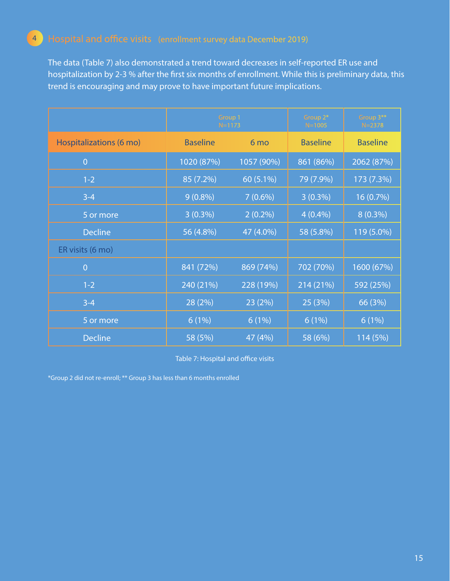## 4

The data (Table 7) also demonstrated a trend toward decreases in self-reported ER use and hospitalization by 2-3 % after the first six months of enrollment. While this is preliminary data, this trend is encouraging and may prove to have important future implications.

|                         | Group 1<br>$N = 1173$ |            | Group 2*<br>$N = 1005$ | Group 3**<br>$N = 2378$ |
|-------------------------|-----------------------|------------|------------------------|-------------------------|
| Hospitalizations (6 mo) | <b>Baseline</b>       | 6 mo       | <b>Baseline</b>        | <b>Baseline</b>         |
| $\overline{0}$          | 1020 (87%)            | 1057 (90%) | 861 (86%)              | 2062 (87%)              |
| $1-2$                   | 85 (7.2%)             | 60 (5.1%)  | 79 (7.9%)              | 173 (7.3%)              |
| $3 - 4$                 | $9(0.8\%)$            | $7(0.6\%)$ | $3(0.3\%)$             | 16 (0.7%)               |
| 5 or more               | $3(0.3\%)$            | $2(0.2\%)$ | $4(0.4\%)$             | $8(0.3\%)$              |
| <b>Decline</b>          | 56 (4.8%)             | 47 (4.0%)  | 58 (5.8%)              | 119 (5.0%)              |
| ER visits (6 mo)        |                       |            |                        |                         |
| $\overline{0}$          | 841 (72%)             | 869 (74%)  | 702 (70%)              | 1600 (67%)              |
| $1 - 2$                 | 240 (21%)             | 228 (19%)  | 214 (21%)              | 592 (25%)               |
| $3 - 4$                 | 28 (2%)               | 23 (2%)    | 25 (3%)                | 66 (3%)                 |
| 5 or more               | 6(1%)                 | 6(1%)      | 6(1%)                  | 6(1%)                   |
| <b>Decline</b>          | 58 (5%)               | 47 (4%)    | 58 (6%)                | 114 (5%)                |

Table 7: Hospital and office visits

\*Group 2 did not re-enroll; \*\* Group 3 has less than 6 months enrolled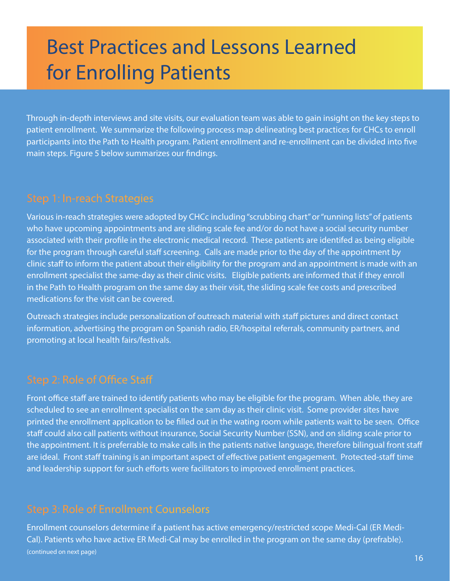# Best Practices and Lessons Learned for Enrolling Patients

Through in-depth interviews and site visits, our evaluation team was able to gain insight on the key steps to patient enrollment. We summarize the following process map delineating best practices for CHCs to enroll participants into the Path to Health program. Patient enrollment and re-enrollment can be divided into five main steps. Figure 5 below summarizes our findings.

Various in-reach strategies were adopted by CHCc including "scrubbing chart" or "running lists" of patients who have upcoming appointments and are sliding scale fee and/or do not have a social security number associated with their profile in the electronic medical record. These patients are identifed as being eligible for the program through careful staff screening. Calls are made prior to the day of the appointment by clinic staff to inform the patient about their eligibility for the program and an appointment is made with an enrollment specialist the same-day as their clinic visits. Eligible patients are informed that if they enroll in the Path to Health program on the same day as their visit, the sliding scale fee costs and prescribed medications for the visit can be covered.

Outreach strategies include personalization of outreach material with staff pictures and direct contact information, advertising the program on Spanish radio, ER/hospital referrals, community partners, and promoting at local health fairs/festivals.

## Step 2: Role of Office Staff

Front office staff are trained to identify patients who may be eligible for the program. When able, they are scheduled to see an enrollment specialist on the sam day as their clinic visit. Some provider sites have printed the enrollment application to be filled out in the wating room while patients wait to be seen. Office staff could also call patients without insurance, Social Security Number (SSN), and on sliding scale prior to the appointment. It is preferrable to make calls in the patients native language, therefore bilingual front staff are ideal. Front staff training is an important aspect of effective patient engagement. Protected-staff time and leadership support for such efforts were facilitators to improved enrollment practices.

## Step 3: Role of Enrollment Counselors

Enrollment counselors determine if a patient has active emergency/restricted scope Medi-Cal (ER Medi-Cal). Patients who have active ER Medi-Cal may be enrolled in the program on the same day (prefrable). (continued on next page)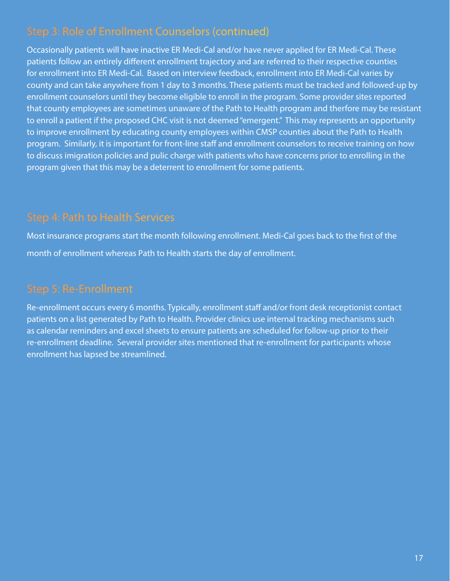## Step 3: Role of Enrollment Counselors (continued)

Occasionally patients will have inactive ER Medi-Cal and/or have never applied for ER Medi-Cal. These patients follow an entirely different enrollment trajectory and are referred to their respective counties for enrollment into ER Medi-Cal. Based on interview feedback, enrollment into ER Medi-Cal varies by county and can take anywhere from 1 day to 3 months. These patients must be tracked and followed-up by enrollment counselors until they become eligible to enroll in the program. Some provider sites reported that county employees are sometimes unaware of the Path to Health program and therfore may be resistant to enroll a patient if the proposed CHC visit is not deemed "emergent." This may represents an opportunity to improve enrollment by educating county employees within CMSP counties about the Path to Health program. Similarly, it is important for front-line staff and enrollment counselors to receive training on how to discuss imigration policies and pulic charge with patients who have concerns prior to enrolling in the program given that this may be a deterrent to enrollment for some patients.

## Step 4: Path to Health Services

Most insurance programs start the month following enrollment. Medi-Cal goes back to the first of the month of enrollment whereas Path to Health starts the day of enrollment.

Re-enrollment occurs every 6 months. Typically, enrollment staff and/or front desk receptionist contact patients on a list generated by Path to Health. Provider clinics use internal tracking mechanisms such as calendar reminders and excel sheets to ensure patients are scheduled for follow-up prior to their re-enrollment deadline. Several provider sites mentioned that re-enrollment for participants whose enrollment has lapsed be streamlined.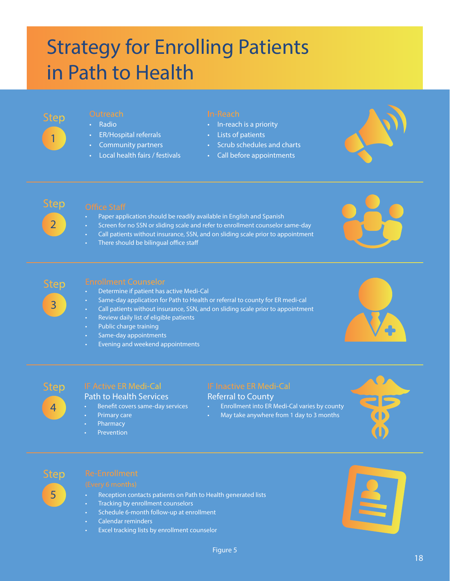# Strategy for Enrolling Patients in Path to Health



- Radio
- ER/Hospital referrals
- Community partners
- Local health fairs / festivals

- In-reach is a priority
- Lists of patients
- Scrub schedules and charts
- Call before appointments





- Paper application should be readily available in English and Spanish
- Screen for no SSN or sliding scale and refer to enrollment counselor same-day
- Call patients without insurance, SSN, and on sliding scale prior to appointment
- There should be bilingual office staff





- Determine if patient has active Medi-Cal
- Same-day application for Path to Health or referral to county for ER medi-cal
- Call patients without insurance, SSN, and on sliding scale prior to appointment
- Review daily list of eligible patients
- Public charge training
- Same-day appointments
- **Evening and weekend appointments**





## IF Active ER Medi-Cal

### Path to Health Services

- Benefit covers same-day services
- Primary care
- **Pharmacy**
- **Prevention**

## IF Inactive ER Medi-Cal

### Referral to County

- Enrollment into ER Medi-Cal varies by county
	- May take anywhere from 1 day to 3 months





- Reception contacts patients on Path to Health generated lists
- Tracking by enrollment counselors
- Schedule 6-month follow-up at enrollment
- Calendar reminders
- Excel tracking lists by enrollment counselor

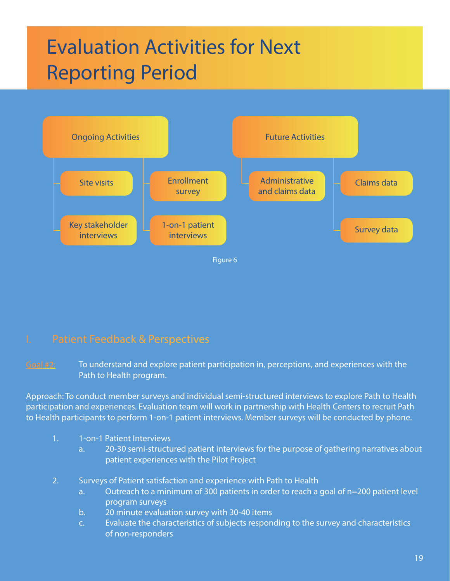# Evaluation Activities for Next Reporting Period



## I. Patient Feedback & Perspectives

 $\frac{1}{2}$  To understand and explore patient participation in, perceptions, and experiences with the Path to Health program.

Approach: To conduct member surveys and individual semi-structured interviews to explore Path to Health participation and experiences. Evaluation team will work in partnership with Health Centers to recruit Path to Health participants to perform 1-on-1 patient interviews. Member surveys will be conducted by phone.

- 1. 1-on-1 Patient Interviews
	- a. 20-30 semi-structured patient interviews for the purpose of gathering narratives about patient experiences with the Pilot Project
- 2. Surveys of Patient satisfaction and experience with Path to Health
	- a. Outreach to a minimum of 300 patients in order to reach a goal of n=200 patient level program surveys
	- b. 20 minute evaluation survey with 30-40 items
	- c. Evaluate the characteristics of subjects responding to the survey and characteristics of non-responders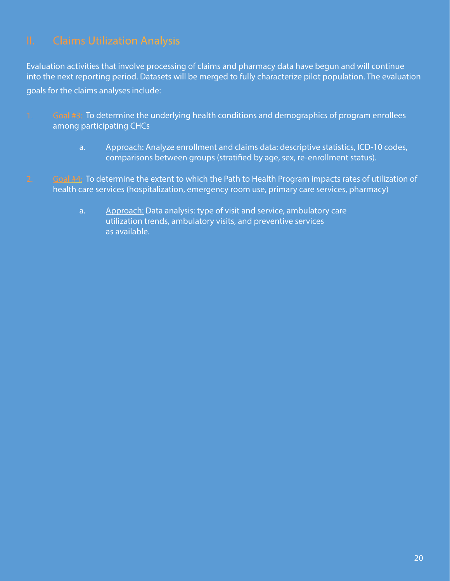Evaluation activities that involve processing of claims and pharmacy data have begun and will continue into the next reporting period. Datasets will be merged to fully characterize pilot population. The evaluation goals for the claims analyses include:

- 1. Goal #3: To determine the underlying health conditions and demographics of program enrollees among participating CHCs
	- a. Approach: Analyze enrollment and claims data: descriptive statistics, ICD-10 codes, comparisons between groups (stratified by age, sex, re-enrollment status).
- 2. Goal #4: To determine the extent to which the Path to Health Program impacts rates of utilization of health care services (hospitalization, emergency room use, primary care services, pharmacy)
	- a. Approach: Data analysis: type of visit and service, ambulatory care utilization trends, ambulatory visits, and preventive services as available.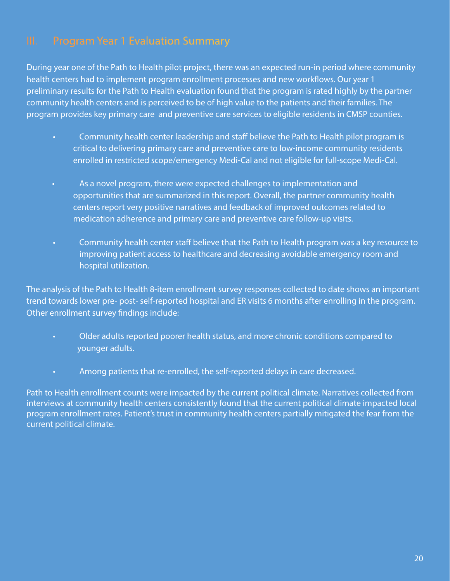During year one of the Path to Health pilot project, there was an expected run-in period where community health centers had to implement program enrollment processes and new workflows. Our year 1 preliminary results for the Path to Health evaluation found that the program is rated highly by the partner community health centers and is perceived to be of high value to the patients and their families. The program provides key primary care and preventive care services to eligible residents in CMSP counties.

- Community health center leadership and staff believe the Path to Health pilot program is critical to delivering primary care and preventive care to low-income community residents enrolled in restricted scope/emergency Medi-Cal and not eligible for full-scope Medi-Cal.
- As a novel program, there were expected challenges to implementation and opportunities that are summarized in this report. Overall, the partner community health centers report very positive narratives and feedback of improved outcomes related to medication adherence and primary care and preventive care follow-up visits.
- Community health center staff believe that the Path to Health program was a key resource to improving patient access to healthcare and decreasing avoidable emergency room and hospital utilization.

The analysis of the Path to Health 8-item enrollment survey responses collected to date shows an important trend towards lower pre- post- self-reported hospital and ER visits 6 months after enrolling in the program. Other enrollment survey findings include:

- Older adults reported poorer health status, and more chronic conditions compared to younger adults.
- Among patients that re-enrolled, the self-reported delays in care decreased.

Path to Health enrollment counts were impacted by the current political climate. Narratives collected from interviews at community health centers consistently found that the current political climate impacted local program enrollment rates. Patient's trust in community health centers partially mitigated the fear from the current political climate.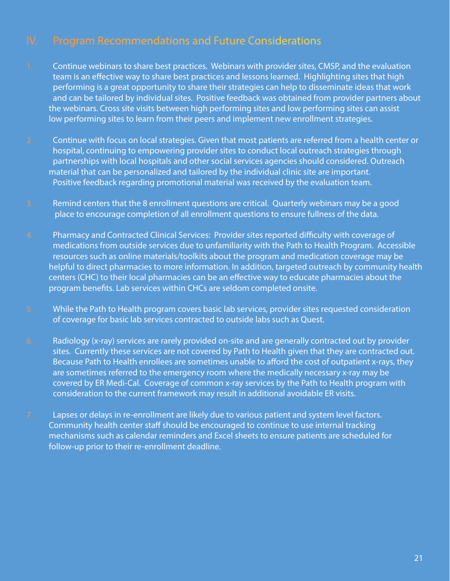## IV. Program Recommendations and Future Considerations

- 1. Continue webinars to share best practices. Webinars with provider sites, CMSP, and the evaluation team is an effective way to share best practices and lessons learned. Highlighting sites that high performing is a great opportunity to share their strategies can help to disseminate ideas that work and can be tailored by individual sites. Positive feedback was obtained from provider partners about the webinars. Cross site visits between high performing sites and low performing sites can assist low performing sites to learn from their peers and implement new enrollment strategies.
- 2. Continue with focus on local strategies. Given that most patients are referred from a health center or hospital, continuing to empowering provider sites to conduct local outreach strategies through partnerships with local hospitals and other social services agencies should considered. Outreach material that can be personalized and tailored by the individual clinic site are important. Positive feedback regarding promotional material was received by the evaluation team.
- 3. Remind centers that the 8 enrollment questions are critical. Quarterly webinars may be a good place to encourage completion of all enrollment questions to ensure fullness of the data.
- 4. Pharmacy and Contracted Clinical Services: Provider sites reported difficulty with coverage of medications from outside services due to unfamiliarity with the Path to Health Program. Accessible resources such as online materials/toolkits about the program and medication coverage may be helpful to direct pharmacies to more information. In addition, targeted outreach by community health centers (CHC) to their local pharmacies can be an effective way to educate pharmacies about the program benefits. Lab services within CHCs are seldom completed onsite.
- 5. While the Path to Health program covers basic lab services, provider sites requested consideration of coverage for basic lab services contracted to outside labs such as Quest.
- 6. Radiology (x-ray) services are rarely provided on-site and are generally contracted out by provider sites. Currently these services are not covered by Path to Health given that they are contracted out. Because Path to Health enrollees are sometimes unable to afford the cost of outpatient x-rays, they are sometimes referred to the emergency room where the medically necessary x-ray may be covered by ER Medi-Cal. Coverage of common x-ray services by the Path to Health program with consideration to the current framework may result in additional avoidable ER visits.
- 7. Lapses or delays in re-enrollment are likely due to various patient and system level factors. Community health center staff should be encouraged to continue to use internal tracking mechanisms such as calendar reminders and Excel sheets to ensure patients are scheduled for follow-up prior to their re-enrollment deadline.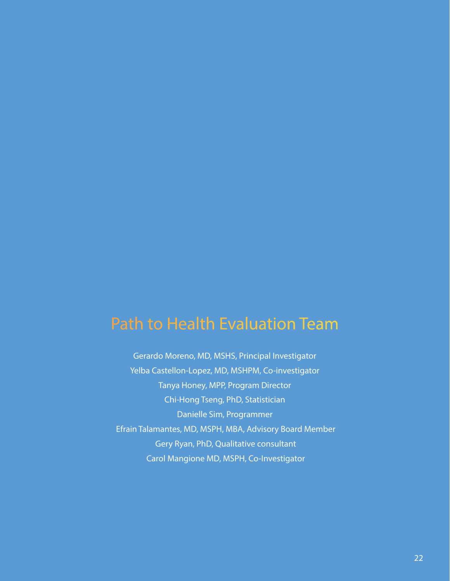## Path to Health Evaluation Team

Gerardo Moreno, MD, MSHS, Principal Investigator Yelba Castellon-Lopez, MD, MSHPM, Co-investigator Tanya Honey, MPP, Program Director Chi-Hong Tseng, PhD, Statistician Danielle Sim, Programmer Efrain Talamantes, MD, MSPH, MBA, Advisory Board Member Gery Ryan, PhD, Qualitative consultant Carol Mangione MD, MSPH, Co-Investigator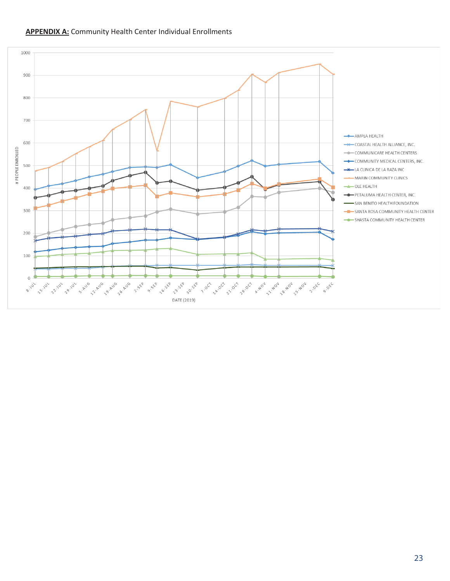

### **APPENDIX A:** Community Health Center Individual Enrollments